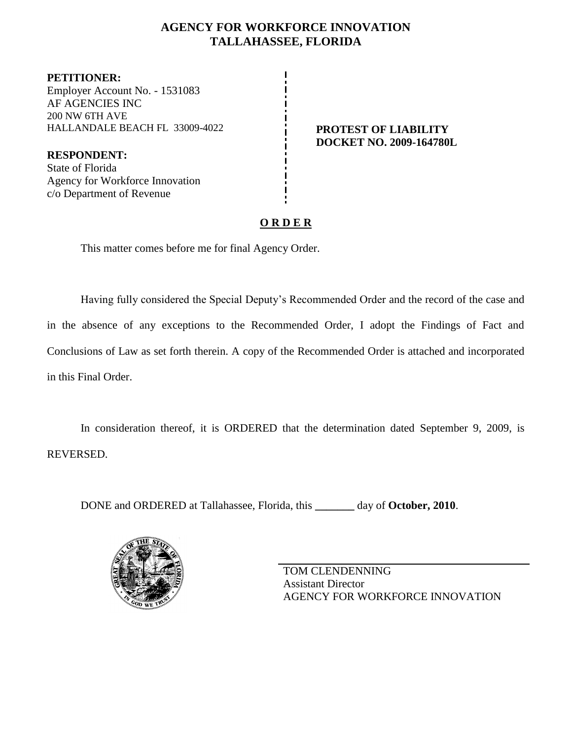## **AGENCY FOR WORKFORCE INNOVATION TALLAHASSEE, FLORIDA**

**PETITIONER:** Employer Account No. - 1531083 AF AGENCIES INC 200 NW 6TH AVE HALLANDALE BEACH FL 33009-4022 **PROTEST OF LIABILITY**

**RESPONDENT:** State of Florida Agency for Workforce Innovation c/o Department of Revenue

# **DOCKET NO. 2009-164780L**

# **O R D E R**

This matter comes before me for final Agency Order.

Having fully considered the Special Deputy's Recommended Order and the record of the case and in the absence of any exceptions to the Recommended Order, I adopt the Findings of Fact and Conclusions of Law as set forth therein. A copy of the Recommended Order is attached and incorporated in this Final Order.

In consideration thereof, it is ORDERED that the determination dated September 9, 2009, is REVERSED.

DONE and ORDERED at Tallahassee, Florida, this **\_\_\_\_\_\_\_** day of **October, 2010**.



TOM CLENDENNING Assistant Director AGENCY FOR WORKFORCE INNOVATION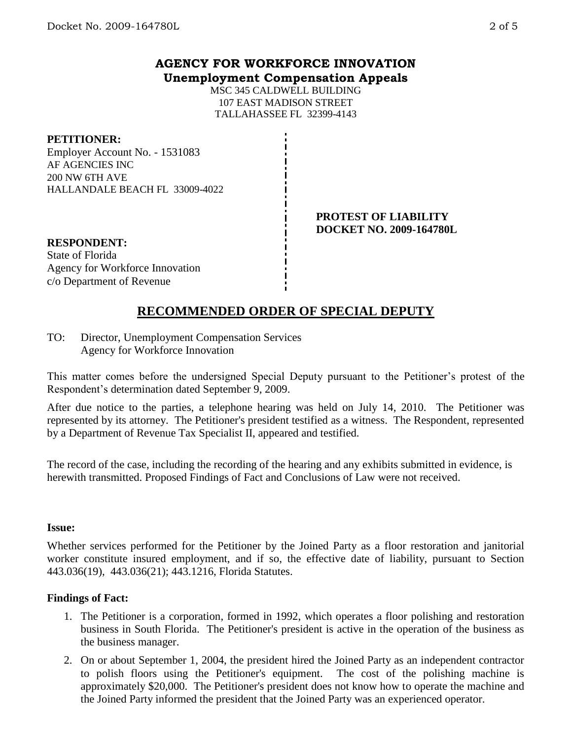### **AGENCY FOR WORKFORCE INNOVATION Unemployment Compensation Appeals**

MSC 345 CALDWELL BUILDING 107 EAST MADISON STREET TALLAHASSEE FL 32399-4143

**PETITIONER:**

Employer Account No. - 1531083 AF AGENCIES INC 200 NW 6TH AVE HALLANDALE BEACH FL 33009-4022

> **PROTEST OF LIABILITY DOCKET NO. 2009-164780L**

**RESPONDENT:** State of Florida Agency for Workforce Innovation c/o Department of Revenue

# **RECOMMENDED ORDER OF SPECIAL DEPUTY**

TO: Director, Unemployment Compensation Services Agency for Workforce Innovation

This matter comes before the undersigned Special Deputy pursuant to the Petitioner's protest of the Respondent's determination dated September 9, 2009.

After due notice to the parties, a telephone hearing was held on July 14, 2010. The Petitioner was represented by its attorney. The Petitioner's president testified as a witness. The Respondent, represented by a Department of Revenue Tax Specialist II, appeared and testified.

The record of the case, including the recording of the hearing and any exhibits submitted in evidence, is herewith transmitted. Proposed Findings of Fact and Conclusions of Law were not received.

#### **Issue:**

Whether services performed for the Petitioner by the Joined Party as a floor restoration and janitorial worker constitute insured employment, and if so, the effective date of liability, pursuant to Section 443.036(19), 443.036(21); 443.1216, Florida Statutes.

## **Findings of Fact:**

- 1. The Petitioner is a corporation, formed in 1992, which operates a floor polishing and restoration business in South Florida. The Petitioner's president is active in the operation of the business as the business manager.
- 2. On or about September 1, 2004, the president hired the Joined Party as an independent contractor to polish floors using the Petitioner's equipment. The cost of the polishing machine is approximately \$20,000. The Petitioner's president does not know how to operate the machine and the Joined Party informed the president that the Joined Party was an experienced operator.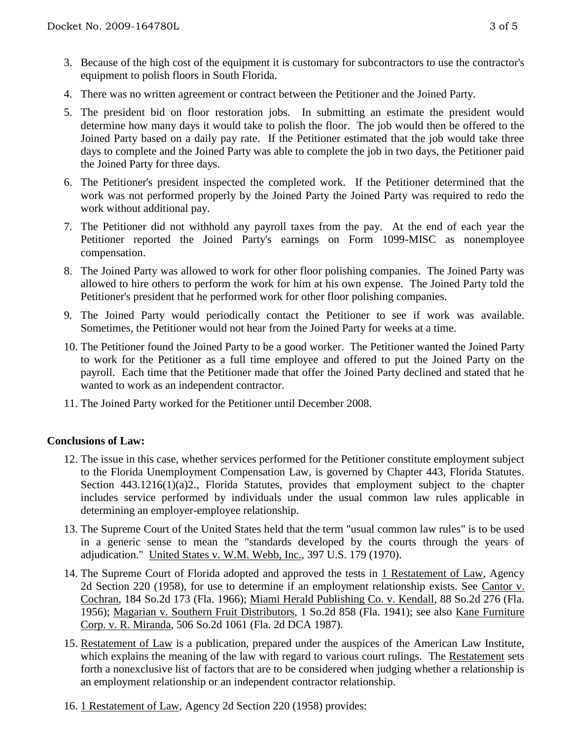- 3. Because of the high cost of the equipment it is customary for subcontractors to use the contractor's equipment to polish floors in South Florida.
- 4. There was no written agreement or contract between the Petitioner and the Joined Party.
- 5. The president bid on floor restoration jobs. In submitting an estimate the president would determine how many days it would take to polish the floor. The job would then be offered to the Joined Party based on a daily pay rate. If the Petitioner estimated that the job would take three days to complete and the Joined Party was able to complete the job in two days, the Petitioner paid the Joined Party for three days.
- 6. The Petitioner's president inspected the completed work. If the Petitioner determined that the work was not performed properly by the Joined Party the Joined Party was required to redo the work without additional pay.
- 7. The Petitioner did not withhold any payroll taxes from the pay. At the end of each year the Petitioner reported the Joined Party's earnings on Form 1099-MISC as nonemployee compensation.
- 8. The Joined Party was allowed to work for other floor polishing companies. The Joined Party was allowed to hire others to perform the work for him at his own expense. The Joined Party told the Petitioner's president that he performed work for other floor polishing companies.
- 9. The Joined Party would periodically contact the Petitioner to see if work was available. Sometimes, the Petitioner would not hear from the Joined Party for weeks at a time.
- 10. The Petitioner found the Joined Party to be a good worker. The Petitioner wanted the Joined Party to work for the Petitioner as a full time employee and offered to put the Joined Party on the payroll. Each time that the Petitioner made that offer the Joined Party declined and stated that he wanted to work as an independent contractor.
- 11. The Joined Party worked for the Petitioner until December 2008.

## **Conclusions of Law:**

- 12. The issue in this case, whether services performed for the Petitioner constitute employment subject to the Florida Unemployment Compensation Law, is governed by Chapter 443, Florida Statutes. Section 443.1216(1)(a)2., Florida Statutes, provides that employment subject to the chapter includes service performed by individuals under the usual common law rules applicable in determining an employer-employee relationship.
- 13. The Supreme Court of the United States held that the term "usual common law rules" is to be used in a generic sense to mean the "standards developed by the courts through the years of adjudication." United States v. W.M. Webb, Inc., 397 U.S. 179 (1970).
- 14. The Supreme Court of Florida adopted and approved the tests in 1 Restatement of Law, Agency 2d Section 220 (1958), for use to determine if an employment relationship exists. See Cantor v. Cochran, 184 So.2d 173 (Fla. 1966); Miami Herald Publishing Co. v. Kendall, 88 So.2d 276 (Fla. 1956); Magarian v. Southern Fruit Distributors, 1 So.2d 858 (Fla. 1941); see also Kane Furniture Corp. v. R. Miranda, 506 So.2d 1061 (Fla. 2d DCA 1987).
- 15. Restatement of Law is a publication, prepared under the auspices of the American Law Institute, which explains the meaning of the law with regard to various court rulings. The Restatement sets forth a nonexclusive list of factors that are to be considered when judging whether a relationship is an employment relationship or an independent contractor relationship.
- 16. 1 Restatement of Law, Agency 2d Section 220 (1958) provides: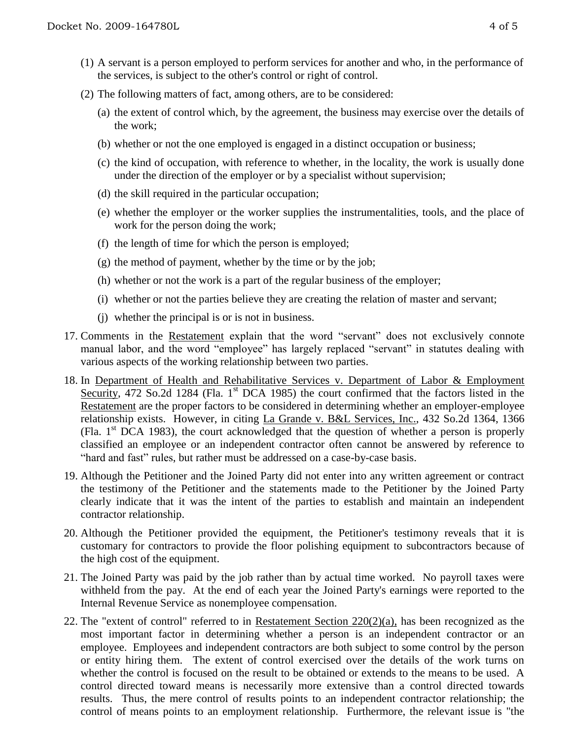- (1) A servant is a person employed to perform services for another and who, in the performance of the services, is subject to the other's control or right of control.
- (2) The following matters of fact, among others, are to be considered:
	- (a) the extent of control which, by the agreement, the business may exercise over the details of the work;
	- (b) whether or not the one employed is engaged in a distinct occupation or business;
	- (c) the kind of occupation, with reference to whether, in the locality, the work is usually done under the direction of the employer or by a specialist without supervision;
	- (d) the skill required in the particular occupation;
	- (e) whether the employer or the worker supplies the instrumentalities, tools, and the place of work for the person doing the work;
	- (f) the length of time for which the person is employed;
	- (g) the method of payment, whether by the time or by the job;
	- (h) whether or not the work is a part of the regular business of the employer;
	- (i) whether or not the parties believe they are creating the relation of master and servant;
	- (j) whether the principal is or is not in business.
- 17. Comments in the Restatement explain that the word "servant" does not exclusively connote manual labor, and the word "employee" has largely replaced "servant" in statutes dealing with various aspects of the working relationship between two parties.
- 18. In Department of Health and Rehabilitative Services v. Department of Labor & Employment Security, 472 So.2d 1284 (Fla. 1<sup>st</sup> DCA 1985) the court confirmed that the factors listed in the Restatement are the proper factors to be considered in determining whether an employer-employee relationship exists. However, in citing La Grande v. B&L Services, Inc., 432 So.2d 1364, 1366 (Fla.  $1<sup>st</sup> DCA$  1983), the court acknowledged that the question of whether a person is properly classified an employee or an independent contractor often cannot be answered by reference to "hard and fast" rules, but rather must be addressed on a case-by-case basis.
- 19. Although the Petitioner and the Joined Party did not enter into any written agreement or contract the testimony of the Petitioner and the statements made to the Petitioner by the Joined Party clearly indicate that it was the intent of the parties to establish and maintain an independent contractor relationship.
- 20. Although the Petitioner provided the equipment, the Petitioner's testimony reveals that it is customary for contractors to provide the floor polishing equipment to subcontractors because of the high cost of the equipment.
- 21. The Joined Party was paid by the job rather than by actual time worked. No payroll taxes were withheld from the pay. At the end of each year the Joined Party's earnings were reported to the Internal Revenue Service as nonemployee compensation.
- 22. The "extent of control" referred to in Restatement Section 220(2)(a), has been recognized as the most important factor in determining whether a person is an independent contractor or an employee. Employees and independent contractors are both subject to some control by the person or entity hiring them. The extent of control exercised over the details of the work turns on whether the control is focused on the result to be obtained or extends to the means to be used. A control directed toward means is necessarily more extensive than a control directed towards results. Thus, the mere control of results points to an independent contractor relationship; the control of means points to an employment relationship. Furthermore, the relevant issue is "the